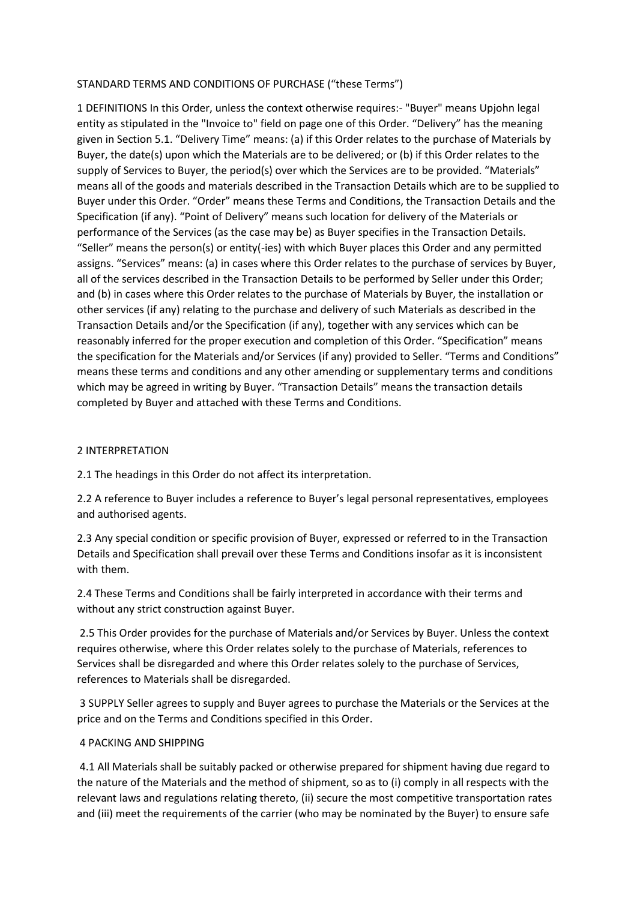## STANDARD TERMS AND CONDITIONS OF PURCHASE ("these Terms")

1 DEFINITIONS In this Order, unless the context otherwise requires:- "Buyer" means Upjohn legal entity as stipulated in the "Invoice to" field on page one of this Order. "Delivery" has the meaning given in Section 5.1. "Delivery Time" means: (a) if this Order relates to the purchase of Materials by Buyer, the date(s) upon which the Materials are to be delivered; or (b) if this Order relates to the supply of Services to Buyer, the period(s) over which the Services are to be provided. "Materials" means all of the goods and materials described in the Transaction Details which are to be supplied to Buyer under this Order. "Order" means these Terms and Conditions, the Transaction Details and the Specification (if any). "Point of Delivery" means such location for delivery of the Materials or performance of the Services (as the case may be) as Buyer specifies in the Transaction Details. "Seller" means the person(s) or entity(-ies) with which Buyer places this Order and any permitted assigns. "Services" means: (a) in cases where this Order relates to the purchase of services by Buyer, all of the services described in the Transaction Details to be performed by Seller under this Order; and (b) in cases where this Order relates to the purchase of Materials by Buyer, the installation or other services (if any) relating to the purchase and delivery of such Materials as described in the Transaction Details and/or the Specification (if any), together with any services which can be reasonably inferred for the proper execution and completion of this Order. "Specification" means the specification for the Materials and/or Services (if any) provided to Seller. "Terms and Conditions" means these terms and conditions and any other amending or supplementary terms and conditions which may be agreed in writing by Buyer. "Transaction Details" means the transaction details completed by Buyer and attached with these Terms and Conditions.

## 2 INTERPRETATION

2.1 The headings in this Order do not affect its interpretation.

2.2 A reference to Buyer includes a reference to Buyer's legal personal representatives, employees and authorised agents.

2.3 Any special condition or specific provision of Buyer, expressed or referred to in the Transaction Details and Specification shall prevail over these Terms and Conditions insofar as it is inconsistent with them.

2.4 These Terms and Conditions shall be fairly interpreted in accordance with their terms and without any strict construction against Buyer.

2.5 This Order provides for the purchase of Materials and/or Services by Buyer. Unless the context requires otherwise, where this Order relates solely to the purchase of Materials, references to Services shall be disregarded and where this Order relates solely to the purchase of Services, references to Materials shall be disregarded.

3 SUPPLY Seller agrees to supply and Buyer agrees to purchase the Materials or the Services at the price and on the Terms and Conditions specified in this Order.

## 4 PACKING AND SHIPPING

4.1 All Materials shall be suitably packed or otherwise prepared for shipment having due regard to the nature of the Materials and the method of shipment, so as to (i) comply in all respects with the relevant laws and regulations relating thereto, (ii) secure the most competitive transportation rates and (iii) meet the requirements of the carrier (who may be nominated by the Buyer) to ensure safe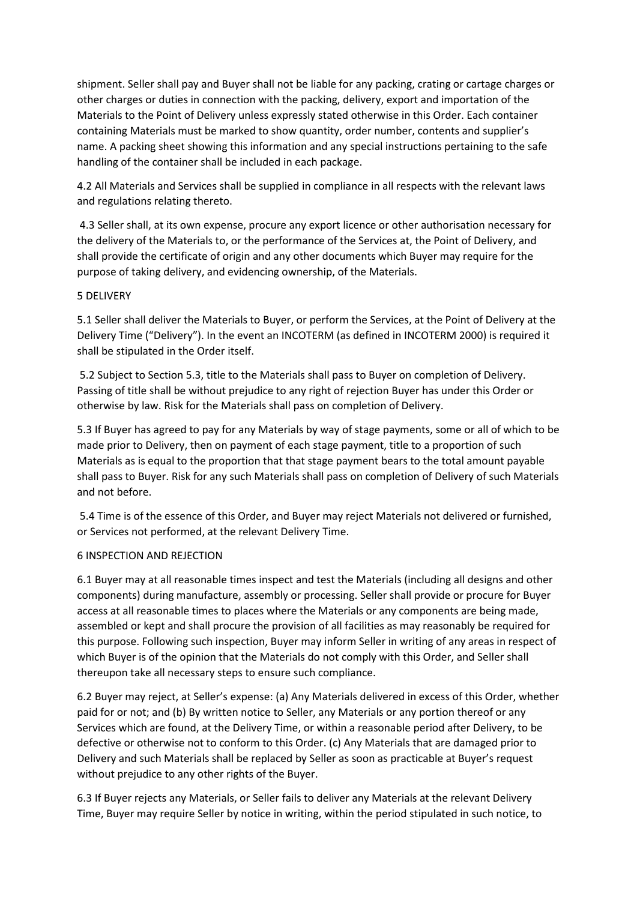shipment. Seller shall pay and Buyer shall not be liable for any packing, crating or cartage charges or other charges or duties in connection with the packing, delivery, export and importation of the Materials to the Point of Delivery unless expressly stated otherwise in this Order. Each container containing Materials must be marked to show quantity, order number, contents and supplier's name. A packing sheet showing this information and any special instructions pertaining to the safe handling of the container shall be included in each package.

4.2 All Materials and Services shall be supplied in compliance in all respects with the relevant laws and regulations relating thereto.

4.3 Seller shall, at its own expense, procure any export licence or other authorisation necessary for the delivery of the Materials to, or the performance of the Services at, the Point of Delivery, and shall provide the certificate of origin and any other documents which Buyer may require for the purpose of taking delivery, and evidencing ownership, of the Materials.

## 5 DELIVERY

5.1 Seller shall deliver the Materials to Buyer, or perform the Services, at the Point of Delivery at the Delivery Time ("Delivery"). In the event an INCOTERM (as defined in INCOTERM 2000) is required it shall be stipulated in the Order itself.

5.2 Subject to Section 5.3, title to the Materials shall pass to Buyer on completion of Delivery. Passing of title shall be without prejudice to any right of rejection Buyer has under this Order or otherwise by law. Risk for the Materials shall pass on completion of Delivery.

5.3 If Buyer has agreed to pay for any Materials by way of stage payments, some or all of which to be made prior to Delivery, then on payment of each stage payment, title to a proportion of such Materials as is equal to the proportion that that stage payment bears to the total amount payable shall pass to Buyer. Risk for any such Materials shall pass on completion of Delivery of such Materials and not before.

5.4 Time is of the essence of this Order, and Buyer may reject Materials not delivered or furnished, or Services not performed, at the relevant Delivery Time.

## 6 INSPECTION AND REJECTION

6.1 Buyer may at all reasonable times inspect and test the Materials (including all designs and other components) during manufacture, assembly or processing. Seller shall provide or procure for Buyer access at all reasonable times to places where the Materials or any components are being made, assembled or kept and shall procure the provision of all facilities as may reasonably be required for this purpose. Following such inspection, Buyer may inform Seller in writing of any areas in respect of which Buyer is of the opinion that the Materials do not comply with this Order, and Seller shall thereupon take all necessary steps to ensure such compliance.

6.2 Buyer may reject, at Seller's expense: (a) Any Materials delivered in excess of this Order, whether paid for or not; and (b) By written notice to Seller, any Materials or any portion thereof or any Services which are found, at the Delivery Time, or within a reasonable period after Delivery, to be defective or otherwise not to conform to this Order. (c) Any Materials that are damaged prior to Delivery and such Materials shall be replaced by Seller as soon as practicable at Buyer's request without prejudice to any other rights of the Buyer.

6.3 If Buyer rejects any Materials, or Seller fails to deliver any Materials at the relevant Delivery Time, Buyer may require Seller by notice in writing, within the period stipulated in such notice, to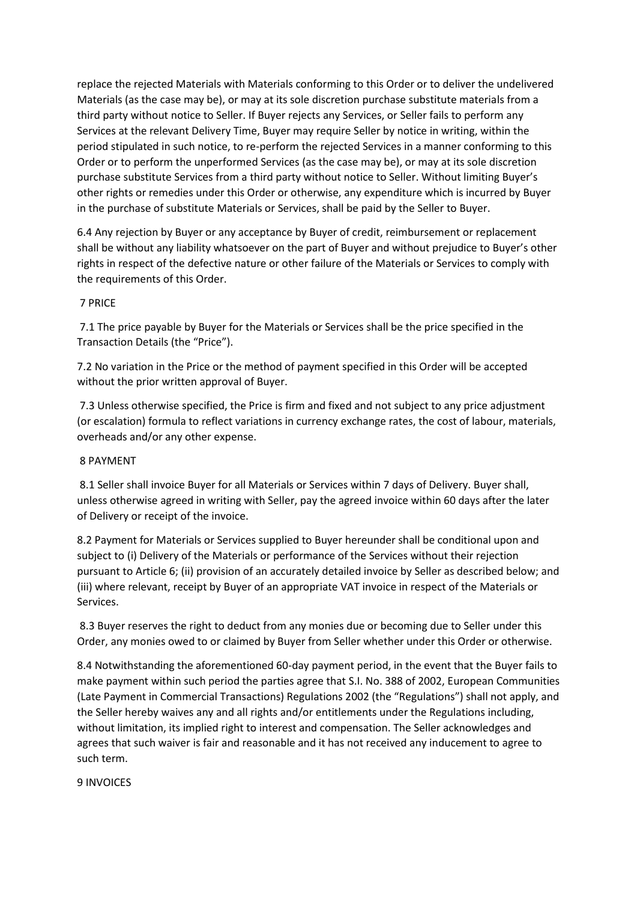replace the rejected Materials with Materials conforming to this Order or to deliver the undelivered Materials (as the case may be), or may at its sole discretion purchase substitute materials from a third party without notice to Seller. If Buyer rejects any Services, or Seller fails to perform any Services at the relevant Delivery Time, Buyer may require Seller by notice in writing, within the period stipulated in such notice, to re-perform the rejected Services in a manner conforming to this Order or to perform the unperformed Services (as the case may be), or may at its sole discretion purchase substitute Services from a third party without notice to Seller. Without limiting Buyer's other rights or remedies under this Order or otherwise, any expenditure which is incurred by Buyer in the purchase of substitute Materials or Services, shall be paid by the Seller to Buyer.

6.4 Any rejection by Buyer or any acceptance by Buyer of credit, reimbursement or replacement shall be without any liability whatsoever on the part of Buyer and without prejudice to Buyer's other rights in respect of the defective nature or other failure of the Materials or Services to comply with the requirements of this Order.

## 7 PRICE

7.1 The price payable by Buyer for the Materials or Services shall be the price specified in the Transaction Details (the "Price").

7.2 No variation in the Price or the method of payment specified in this Order will be accepted without the prior written approval of Buyer.

7.3 Unless otherwise specified, the Price is firm and fixed and not subject to any price adjustment (or escalation) formula to reflect variations in currency exchange rates, the cost of labour, materials, overheads and/or any other expense.

## 8 PAYMENT

8.1 Seller shall invoice Buyer for all Materials or Services within 7 days of Delivery. Buyer shall, unless otherwise agreed in writing with Seller, pay the agreed invoice within 60 days after the later of Delivery or receipt of the invoice.

8.2 Payment for Materials or Services supplied to Buyer hereunder shall be conditional upon and subject to (i) Delivery of the Materials or performance of the Services without their rejection pursuant to Article 6; (ii) provision of an accurately detailed invoice by Seller as described below; and (iii) where relevant, receipt by Buyer of an appropriate VAT invoice in respect of the Materials or Services.

8.3 Buyer reserves the right to deduct from any monies due or becoming due to Seller under this Order, any monies owed to or claimed by Buyer from Seller whether under this Order or otherwise.

8.4 Notwithstanding the aforementioned 60-day payment period, in the event that the Buyer fails to make payment within such period the parties agree that S.I. No. 388 of 2002, European Communities (Late Payment in Commercial Transactions) Regulations 2002 (the "Regulations") shall not apply, and the Seller hereby waives any and all rights and/or entitlements under the Regulations including, without limitation, its implied right to interest and compensation. The Seller acknowledges and agrees that such waiver is fair and reasonable and it has not received any inducement to agree to such term.

9 INVOICES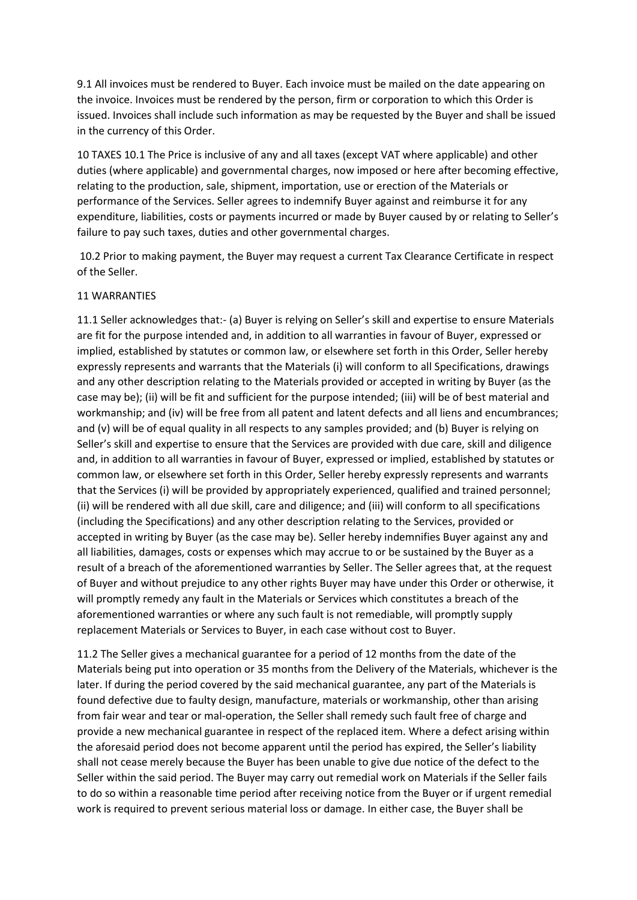9.1 All invoices must be rendered to Buyer. Each invoice must be mailed on the date appearing on the invoice. Invoices must be rendered by the person, firm or corporation to which this Order is issued. Invoices shall include such information as may be requested by the Buyer and shall be issued in the currency of this Order.

10 TAXES 10.1 The Price is inclusive of any and all taxes (except VAT where applicable) and other duties (where applicable) and governmental charges, now imposed or here after becoming effective, relating to the production, sale, shipment, importation, use or erection of the Materials or performance of the Services. Seller agrees to indemnify Buyer against and reimburse it for any expenditure, liabilities, costs or payments incurred or made by Buyer caused by or relating to Seller's failure to pay such taxes, duties and other governmental charges.

10.2 Prior to making payment, the Buyer may request a current Tax Clearance Certificate in respect of the Seller.

#### 11 WARRANTIES

11.1 Seller acknowledges that:- (a) Buyer is relying on Seller's skill and expertise to ensure Materials are fit for the purpose intended and, in addition to all warranties in favour of Buyer, expressed or implied, established by statutes or common law, or elsewhere set forth in this Order, Seller hereby expressly represents and warrants that the Materials (i) will conform to all Specifications, drawings and any other description relating to the Materials provided or accepted in writing by Buyer (as the case may be); (ii) will be fit and sufficient for the purpose intended; (iii) will be of best material and workmanship; and (iv) will be free from all patent and latent defects and all liens and encumbrances; and (v) will be of equal quality in all respects to any samples provided; and (b) Buyer is relying on Seller's skill and expertise to ensure that the Services are provided with due care, skill and diligence and, in addition to all warranties in favour of Buyer, expressed or implied, established by statutes or common law, or elsewhere set forth in this Order, Seller hereby expressly represents and warrants that the Services (i) will be provided by appropriately experienced, qualified and trained personnel; (ii) will be rendered with all due skill, care and diligence; and (iii) will conform to all specifications (including the Specifications) and any other description relating to the Services, provided or accepted in writing by Buyer (as the case may be). Seller hereby indemnifies Buyer against any and all liabilities, damages, costs or expenses which may accrue to or be sustained by the Buyer as a result of a breach of the aforementioned warranties by Seller. The Seller agrees that, at the request of Buyer and without prejudice to any other rights Buyer may have under this Order or otherwise, it will promptly remedy any fault in the Materials or Services which constitutes a breach of the aforementioned warranties or where any such fault is not remediable, will promptly supply replacement Materials or Services to Buyer, in each case without cost to Buyer.

11.2 The Seller gives a mechanical guarantee for a period of 12 months from the date of the Materials being put into operation or 35 months from the Delivery of the Materials, whichever is the later. If during the period covered by the said mechanical guarantee, any part of the Materials is found defective due to faulty design, manufacture, materials or workmanship, other than arising from fair wear and tear or mal-operation, the Seller shall remedy such fault free of charge and provide a new mechanical guarantee in respect of the replaced item. Where a defect arising within the aforesaid period does not become apparent until the period has expired, the Seller's liability shall not cease merely because the Buyer has been unable to give due notice of the defect to the Seller within the said period. The Buyer may carry out remedial work on Materials if the Seller fails to do so within a reasonable time period after receiving notice from the Buyer or if urgent remedial work is required to prevent serious material loss or damage. In either case, the Buyer shall be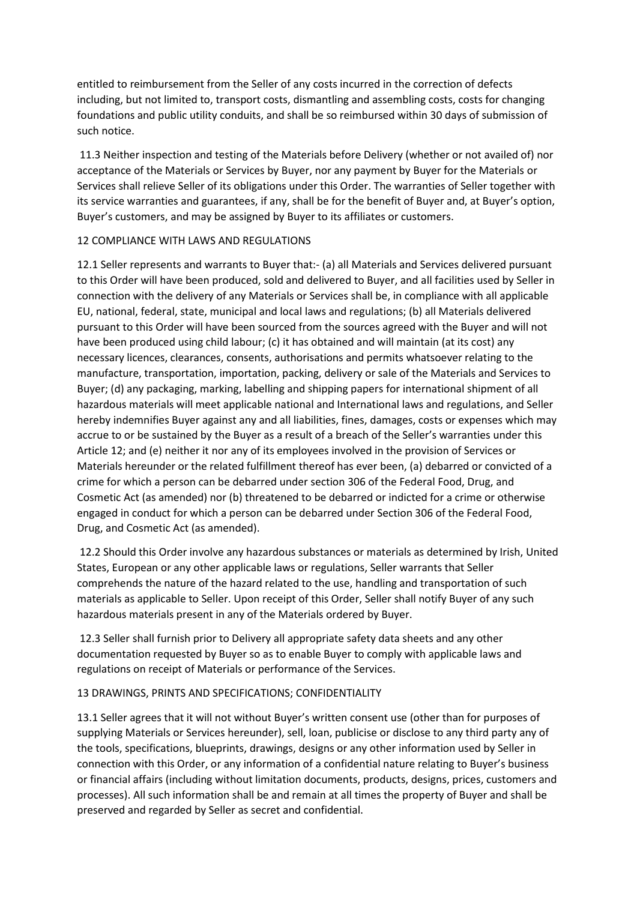entitled to reimbursement from the Seller of any costs incurred in the correction of defects including, but not limited to, transport costs, dismantling and assembling costs, costs for changing foundations and public utility conduits, and shall be so reimbursed within 30 days of submission of such notice.

11.3 Neither inspection and testing of the Materials before Delivery (whether or not availed of) nor acceptance of the Materials or Services by Buyer, nor any payment by Buyer for the Materials or Services shall relieve Seller of its obligations under this Order. The warranties of Seller together with its service warranties and guarantees, if any, shall be for the benefit of Buyer and, at Buyer's option, Buyer's customers, and may be assigned by Buyer to its affiliates or customers.

# 12 COMPLIANCE WITH LAWS AND REGULATIONS

12.1 Seller represents and warrants to Buyer that:- (a) all Materials and Services delivered pursuant to this Order will have been produced, sold and delivered to Buyer, and all facilities used by Seller in connection with the delivery of any Materials or Services shall be, in compliance with all applicable EU, national, federal, state, municipal and local laws and regulations; (b) all Materials delivered pursuant to this Order will have been sourced from the sources agreed with the Buyer and will not have been produced using child labour; (c) it has obtained and will maintain (at its cost) any necessary licences, clearances, consents, authorisations and permits whatsoever relating to the manufacture, transportation, importation, packing, delivery or sale of the Materials and Services to Buyer; (d) any packaging, marking, labelling and shipping papers for international shipment of all hazardous materials will meet applicable national and International laws and regulations, and Seller hereby indemnifies Buyer against any and all liabilities, fines, damages, costs or expenses which may accrue to or be sustained by the Buyer as a result of a breach of the Seller's warranties under this Article 12; and (e) neither it nor any of its employees involved in the provision of Services or Materials hereunder or the related fulfillment thereof has ever been, (a) debarred or convicted of a crime for which a person can be debarred under section 306 of the Federal Food, Drug, and Cosmetic Act (as amended) nor (b) threatened to be debarred or indicted for a crime or otherwise engaged in conduct for which a person can be debarred under Section 306 of the Federal Food, Drug, and Cosmetic Act (as amended).

12.2 Should this Order involve any hazardous substances or materials as determined by Irish, United States, European or any other applicable laws or regulations, Seller warrants that Seller comprehends the nature of the hazard related to the use, handling and transportation of such materials as applicable to Seller. Upon receipt of this Order, Seller shall notify Buyer of any such hazardous materials present in any of the Materials ordered by Buyer.

12.3 Seller shall furnish prior to Delivery all appropriate safety data sheets and any other documentation requested by Buyer so as to enable Buyer to comply with applicable laws and regulations on receipt of Materials or performance of the Services.

# 13 DRAWINGS, PRINTS AND SPECIFICATIONS; CONFIDENTIALITY

13.1 Seller agrees that it will not without Buyer's written consent use (other than for purposes of supplying Materials or Services hereunder), sell, loan, publicise or disclose to any third party any of the tools, specifications, blueprints, drawings, designs or any other information used by Seller in connection with this Order, or any information of a confidential nature relating to Buyer's business or financial affairs (including without limitation documents, products, designs, prices, customers and processes). All such information shall be and remain at all times the property of Buyer and shall be preserved and regarded by Seller as secret and confidential.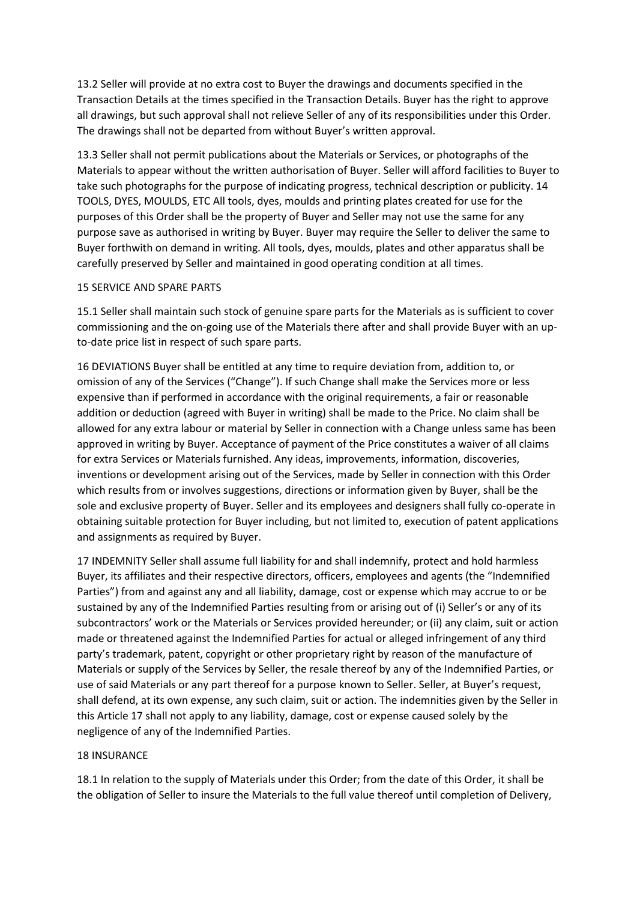13.2 Seller will provide at no extra cost to Buyer the drawings and documents specified in the Transaction Details at the times specified in the Transaction Details. Buyer has the right to approve all drawings, but such approval shall not relieve Seller of any of its responsibilities under this Order. The drawings shall not be departed from without Buyer's written approval.

13.3 Seller shall not permit publications about the Materials or Services, or photographs of the Materials to appear without the written authorisation of Buyer. Seller will afford facilities to Buyer to take such photographs for the purpose of indicating progress, technical description or publicity. 14 TOOLS, DYES, MOULDS, ETC All tools, dyes, moulds and printing plates created for use for the purposes of this Order shall be the property of Buyer and Seller may not use the same for any purpose save as authorised in writing by Buyer. Buyer may require the Seller to deliver the same to Buyer forthwith on demand in writing. All tools, dyes, moulds, plates and other apparatus shall be carefully preserved by Seller and maintained in good operating condition at all times.

#### 15 SERVICE AND SPARE PARTS

15.1 Seller shall maintain such stock of genuine spare parts for the Materials as is sufficient to cover commissioning and the on-going use of the Materials there after and shall provide Buyer with an upto-date price list in respect of such spare parts.

16 DEVIATIONS Buyer shall be entitled at any time to require deviation from, addition to, or omission of any of the Services ("Change"). If such Change shall make the Services more or less expensive than if performed in accordance with the original requirements, a fair or reasonable addition or deduction (agreed with Buyer in writing) shall be made to the Price. No claim shall be allowed for any extra labour or material by Seller in connection with a Change unless same has been approved in writing by Buyer. Acceptance of payment of the Price constitutes a waiver of all claims for extra Services or Materials furnished. Any ideas, improvements, information, discoveries, inventions or development arising out of the Services, made by Seller in connection with this Order which results from or involves suggestions, directions or information given by Buyer, shall be the sole and exclusive property of Buyer. Seller and its employees and designers shall fully co-operate in obtaining suitable protection for Buyer including, but not limited to, execution of patent applications and assignments as required by Buyer.

17 INDEMNITY Seller shall assume full liability for and shall indemnify, protect and hold harmless Buyer, its affiliates and their respective directors, officers, employees and agents (the "Indemnified Parties") from and against any and all liability, damage, cost or expense which may accrue to or be sustained by any of the Indemnified Parties resulting from or arising out of (i) Seller's or any of its subcontractors' work or the Materials or Services provided hereunder; or (ii) any claim, suit or action made or threatened against the Indemnified Parties for actual or alleged infringement of any third party's trademark, patent, copyright or other proprietary right by reason of the manufacture of Materials or supply of the Services by Seller, the resale thereof by any of the Indemnified Parties, or use of said Materials or any part thereof for a purpose known to Seller. Seller, at Buyer's request, shall defend, at its own expense, any such claim, suit or action. The indemnities given by the Seller in this Article 17 shall not apply to any liability, damage, cost or expense caused solely by the negligence of any of the Indemnified Parties.

#### 18 INSURANCE

18.1 In relation to the supply of Materials under this Order; from the date of this Order, it shall be the obligation of Seller to insure the Materials to the full value thereof until completion of Delivery,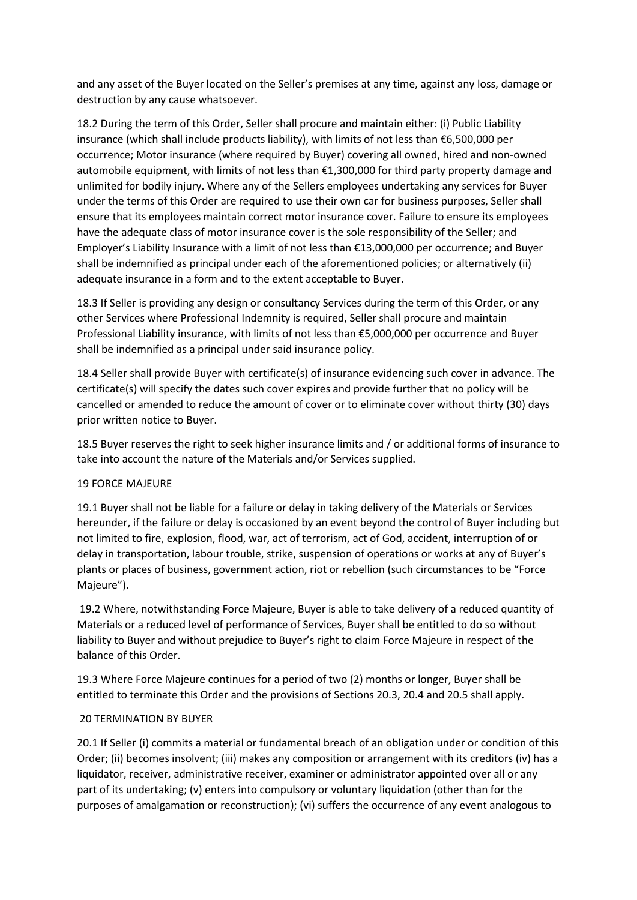and any asset of the Buyer located on the Seller's premises at any time, against any loss, damage or destruction by any cause whatsoever.

18.2 During the term of this Order, Seller shall procure and maintain either: (i) Public Liability insurance (which shall include products liability), with limits of not less than €6,500,000 per occurrence; Motor insurance (where required by Buyer) covering all owned, hired and non-owned automobile equipment, with limits of not less than €1,300,000 for third party property damage and unlimited for bodily injury. Where any of the Sellers employees undertaking any services for Buyer under the terms of this Order are required to use their own car for business purposes, Seller shall ensure that its employees maintain correct motor insurance cover. Failure to ensure its employees have the adequate class of motor insurance cover is the sole responsibility of the Seller; and Employer's Liability Insurance with a limit of not less than €13,000,000 per occurrence; and Buyer shall be indemnified as principal under each of the aforementioned policies; or alternatively (ii) adequate insurance in a form and to the extent acceptable to Buyer.

18.3 If Seller is providing any design or consultancy Services during the term of this Order, or any other Services where Professional Indemnity is required, Seller shall procure and maintain Professional Liability insurance, with limits of not less than €5,000,000 per occurrence and Buyer shall be indemnified as a principal under said insurance policy.

18.4 Seller shall provide Buyer with certificate(s) of insurance evidencing such cover in advance. The certificate(s) will specify the dates such cover expires and provide further that no policy will be cancelled or amended to reduce the amount of cover or to eliminate cover without thirty (30) days prior written notice to Buyer.

18.5 Buyer reserves the right to seek higher insurance limits and / or additional forms of insurance to take into account the nature of the Materials and/or Services supplied.

## 19 FORCE MAJEURE

19.1 Buyer shall not be liable for a failure or delay in taking delivery of the Materials or Services hereunder, if the failure or delay is occasioned by an event beyond the control of Buyer including but not limited to fire, explosion, flood, war, act of terrorism, act of God, accident, interruption of or delay in transportation, labour trouble, strike, suspension of operations or works at any of Buyer's plants or places of business, government action, riot or rebellion (such circumstances to be "Force Majeure").

19.2 Where, notwithstanding Force Majeure, Buyer is able to take delivery of a reduced quantity of Materials or a reduced level of performance of Services, Buyer shall be entitled to do so without liability to Buyer and without prejudice to Buyer's right to claim Force Majeure in respect of the balance of this Order.

19.3 Where Force Majeure continues for a period of two (2) months or longer, Buyer shall be entitled to terminate this Order and the provisions of Sections 20.3, 20.4 and 20.5 shall apply.

## 20 TERMINATION BY BUYER

20.1 If Seller (i) commits a material or fundamental breach of an obligation under or condition of this Order; (ii) becomes insolvent; (iii) makes any composition or arrangement with its creditors (iv) has a liquidator, receiver, administrative receiver, examiner or administrator appointed over all or any part of its undertaking; (v) enters into compulsory or voluntary liquidation (other than for the purposes of amalgamation or reconstruction); (vi) suffers the occurrence of any event analogous to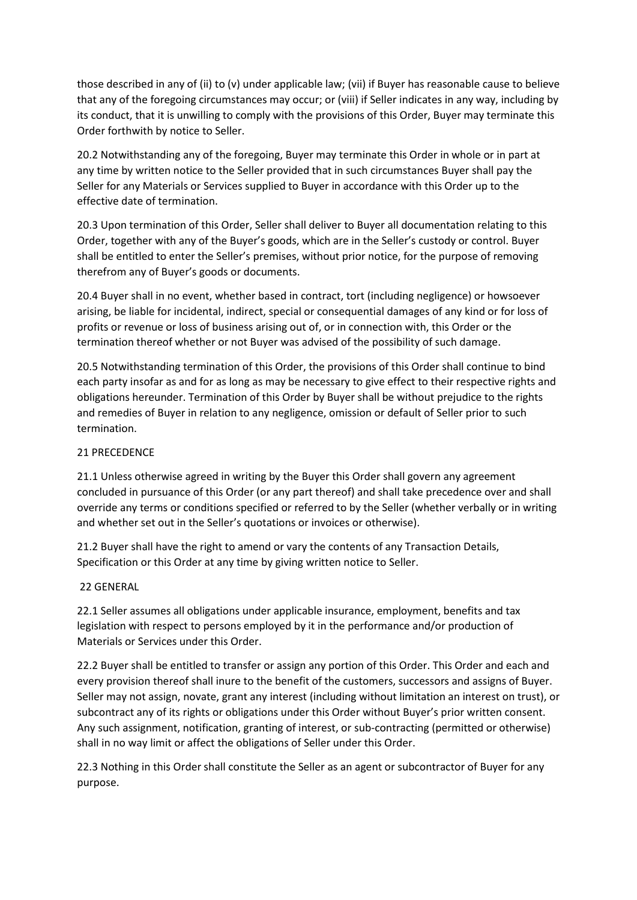those described in any of (ii) to (v) under applicable law; (vii) if Buyer has reasonable cause to believe that any of the foregoing circumstances may occur; or (viii) if Seller indicates in any way, including by its conduct, that it is unwilling to comply with the provisions of this Order, Buyer may terminate this Order forthwith by notice to Seller.

20.2 Notwithstanding any of the foregoing, Buyer may terminate this Order in whole or in part at any time by written notice to the Seller provided that in such circumstances Buyer shall pay the Seller for any Materials or Services supplied to Buyer in accordance with this Order up to the effective date of termination.

20.3 Upon termination of this Order, Seller shall deliver to Buyer all documentation relating to this Order, together with any of the Buyer's goods, which are in the Seller's custody or control. Buyer shall be entitled to enter the Seller's premises, without prior notice, for the purpose of removing therefrom any of Buyer's goods or documents.

20.4 Buyer shall in no event, whether based in contract, tort (including negligence) or howsoever arising, be liable for incidental, indirect, special or consequential damages of any kind or for loss of profits or revenue or loss of business arising out of, or in connection with, this Order or the termination thereof whether or not Buyer was advised of the possibility of such damage.

20.5 Notwithstanding termination of this Order, the provisions of this Order shall continue to bind each party insofar as and for as long as may be necessary to give effect to their respective rights and obligations hereunder. Termination of this Order by Buyer shall be without prejudice to the rights and remedies of Buyer in relation to any negligence, omission or default of Seller prior to such termination.

## 21 PRECEDENCE

21.1 Unless otherwise agreed in writing by the Buyer this Order shall govern any agreement concluded in pursuance of this Order (or any part thereof) and shall take precedence over and shall override any terms or conditions specified or referred to by the Seller (whether verbally or in writing and whether set out in the Seller's quotations or invoices or otherwise).

21.2 Buyer shall have the right to amend or vary the contents of any Transaction Details, Specification or this Order at any time by giving written notice to Seller.

## 22 GENERAL

22.1 Seller assumes all obligations under applicable insurance, employment, benefits and tax legislation with respect to persons employed by it in the performance and/or production of Materials or Services under this Order.

22.2 Buyer shall be entitled to transfer or assign any portion of this Order. This Order and each and every provision thereof shall inure to the benefit of the customers, successors and assigns of Buyer. Seller may not assign, novate, grant any interest (including without limitation an interest on trust), or subcontract any of its rights or obligations under this Order without Buyer's prior written consent. Any such assignment, notification, granting of interest, or sub-contracting (permitted or otherwise) shall in no way limit or affect the obligations of Seller under this Order.

22.3 Nothing in this Order shall constitute the Seller as an agent or subcontractor of Buyer for any purpose.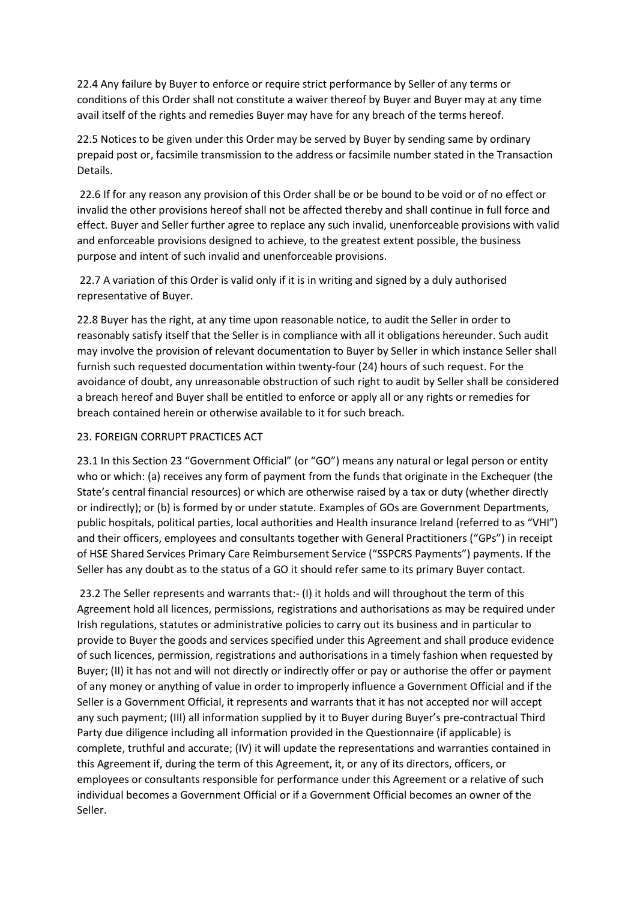22.4 Any failure by Buyer to enforce or require strict performance by Seller of any terms or conditions of this Order shall not constitute a waiver thereof by Buyer and Buyer may at any time avail itself of the rights and remedies Buyer may have for any breach of the terms hereof.

22.5 Notices to be given under this Order may be served by Buyer by sending same by ordinary prepaid post or, facsimile transmission to the address or facsimile number stated in the Transaction Details.

22.6 If for any reason any provision of this Order shall be or be bound to be void or of no effect or invalid the other provisions hereof shall not be affected thereby and shall continue in full force and effect. Buyer and Seller further agree to replace any such invalid, unenforceable provisions with valid and enforceable provisions designed to achieve, to the greatest extent possible, the business purpose and intent of such invalid and unenforceable provisions.

22.7 A variation of this Order is valid only if it is in writing and signed by a duly authorised representative of Buyer.

22.8 Buyer has the right, at any time upon reasonable notice, to audit the Seller in order to reasonably satisfy itself that the Seller is in compliance with all it obligations hereunder. Such audit may involve the provision of relevant documentation to Buyer by Seller in which instance Seller shall furnish such requested documentation within twenty-four (24) hours of such request. For the avoidance of doubt, any unreasonable obstruction of such right to audit by Seller shall be considered a breach hereof and Buyer shall be entitled to enforce or apply all or any rights or remedies for breach contained herein or otherwise available to it for such breach.

## 23. FOREIGN CORRUPT PRACTICES ACT

23.1 In this Section 23 "Government Official" (or "GO") means any natural or legal person or entity who or which: (a) receives any form of payment from the funds that originate in the Exchequer (the State's central financial resources) or which are otherwise raised by a tax or duty (whether directly or indirectly); or (b) is formed by or under statute. Examples of GOs are Government Departments, public hospitals, political parties, local authorities and Health insurance Ireland (referred to as "VHI") and their officers, employees and consultants together with General Practitioners ("GPs") in receipt of HSE Shared Services Primary Care Reimbursement Service ("SSPCRS Payments") payments. If the Seller has any doubt as to the status of a GO it should refer same to its primary Buyer contact.

23.2 The Seller represents and warrants that:- (I) it holds and will throughout the term of this Agreement hold all licences, permissions, registrations and authorisations as may be required under Irish regulations, statutes or administrative policies to carry out its business and in particular to provide to Buyer the goods and services specified under this Agreement and shall produce evidence of such licences, permission, registrations and authorisations in a timely fashion when requested by Buyer; (II) it has not and will not directly or indirectly offer or pay or authorise the offer or payment of any money or anything of value in order to improperly influence a Government Official and if the Seller is a Government Official, it represents and warrants that it has not accepted nor will accept any such payment; (III) all information supplied by it to Buyer during Buyer's pre-contractual Third Party due diligence including all information provided in the Questionnaire (if applicable) is complete, truthful and accurate; (IV) it will update the representations and warranties contained in this Agreement if, during the term of this Agreement, it, or any of its directors, officers, or employees or consultants responsible for performance under this Agreement or a relative of such individual becomes a Government Official or if a Government Official becomes an owner of the Seller.